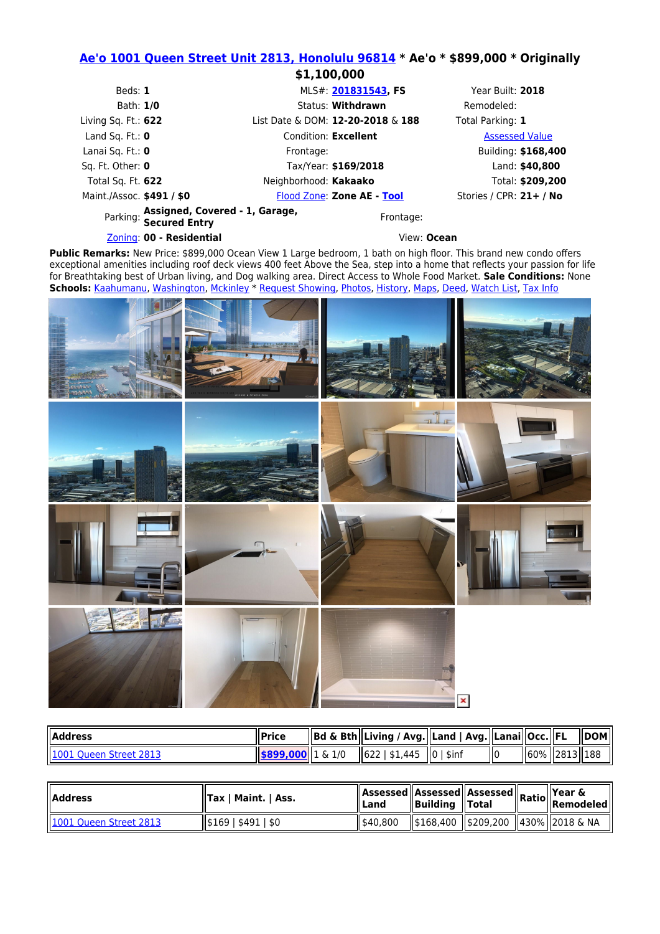## **[Ae'o 1001 Queen Street Unit 2813, Honolulu 96814](https://www.google.com/maps/place/1001 Queen Street ,+Honolulu,+HI+96814) \* Ae'o \* \$899,000 \* Originally**

|                                                                   | \$1,100,000                       |                         |  |  |
|-------------------------------------------------------------------|-----------------------------------|-------------------------|--|--|
| Beds: 1                                                           | MLS#: 201831543, FS               | Year Built: 2018        |  |  |
| Bath: 1/0                                                         | Status: Withdrawn                 | Remodeled:              |  |  |
| Living Sq. Ft.: $622$                                             | List Date & DOM: 12-20-2018 & 188 | Total Parking: 1        |  |  |
| Land Sq. Ft.: $\mathbf 0$                                         | Condition: Excellent              | <b>Assessed Value</b>   |  |  |
| Lanai Sq. Ft.: 0                                                  | Frontage:                         | Building: \$168,400     |  |  |
| Sq. Ft. Other: 0                                                  | Tax/Year: \$169/2018              | Land: \$40,800          |  |  |
| Total Sq. Ft. 622                                                 | Neighborhood: Kakaako             | Total: \$209,200        |  |  |
| Maint./Assoc. \$491 / \$0                                         | Flood Zone: Zone AE - Tool        | Stories / CPR: 21+ / No |  |  |
| Parking: Assigned, Covered - 1, Garage,<br>Parking: Secured Entry | Frontage:                         |                         |  |  |
| Zoning: 00 - Residential                                          | View: Ocean                       |                         |  |  |

Public Remarks: New Price: \$899,000 Ocean View 1 Large bedroom, 1 bath on high floor. This brand new condo offers exceptional amenities including roof deck views 400 feet Above the Sea, step into a home that reflects your passion for life for Breathtaking best of Urban living, and Dog walking area. Direct Access to Whole Food Market. **Sale Conditions:** None **Schools:** [Kaahumanu,](https://www.oahure.com/InstantSearch.php?&Status=Active&PropertyType=CND&ElementarySchool1=Kaahumanu) [Washington,](https://www.oahure.com/InstantSearch.php?&Status=Active&PropertyType=CND&MiddleOrJuniorSchool1=Washington) [Mckinley](https://www.oahure.com/InstantSearch.php?&Status=Active&PropertyType=CND&HighSchool1=Mckinley) \* [Request Showing,](https://www.oahure.com/ShowingRequestForm.php?MLSNumber=201831543&Region=Metro&Price=899000) [Photos,](https://www.oahure.com/SearchMLS_Details.php?MLSNumber=201831543&PropertyType=CND#photos) [History](https://www.oahure.com/SearchMLS_Details.php?MLSNumber=201831543&PropertyType=CND#history), [Maps](https://www.oahure.com/SearchMLS_Details.php?MLSNumber=201831543&PropertyType=CND#maps), [Deed](https://www.oahure.com/SearchMLS_Details.php?MLSNumber=201831543&PropertyType=CND#deed), [Watch List,](https://www.oahure.com/SearchMLS_Details.php?MLSNumber=201831543&PropertyType=CND#watch) [Tax Info](https://www.oahure.com/SearchMLS_Details.php?MLSNumber=201831543&PropertyType=CND#tax)



| <b>I</b> Address       | ll Price                                  | Bd & Bth  Living / Avg.  Land   Avg.  Lanai  Occ.  FL |  |                 | <b>IDOM</b> |
|------------------------|-------------------------------------------|-------------------------------------------------------|--|-----------------|-------------|
| 1001 Queen Street 2813 | $\parallel$ \$899,000 $\parallel$ 1 & 1/0 | 622   \$1.445   0   \$inf                             |  | 60%   2813  188 |             |

| <b>I</b> Address       | Tax   Maint.   Ass. |          |  | Assessed Assessed Assessed Ratio Putu L |
|------------------------|---------------------|----------|--|-----------------------------------------|
| 1001 Queen Street 2813 | \$169   \$491   \$0 | 1540.800 |  | \$168,400   \$209,200   430%  2018 & NA |